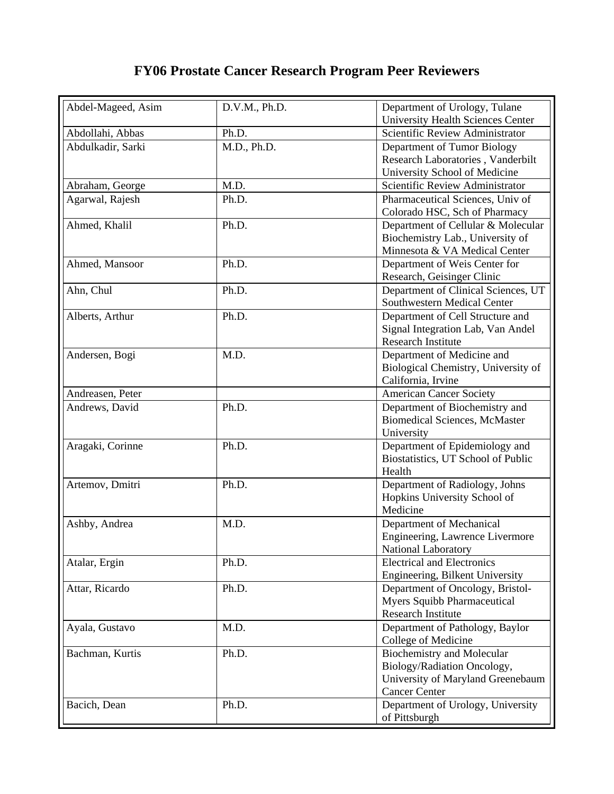## **FY06 Prostate Cancer Research Program Peer Reviewers**

| Abdel-Mageed, Asim | D.V.M., Ph.D. | Department of Urology, Tulane            |
|--------------------|---------------|------------------------------------------|
|                    |               | <b>University Health Sciences Center</b> |
| Abdollahi, Abbas   | Ph.D.         | Scientific Review Administrator          |
| Abdulkadir, Sarki  | M.D., Ph.D.   | Department of Tumor Biology              |
|                    |               | Research Laboratories, Vanderbilt        |
|                    |               | University School of Medicine            |
| Abraham, George    | M.D.          | Scientific Review Administrator          |
| Agarwal, Rajesh    | Ph.D.         | Pharmaceutical Sciences, Univ of         |
|                    |               | Colorado HSC, Sch of Pharmacy            |
| Ahmed, Khalil      | Ph.D.         | Department of Cellular & Molecular       |
|                    |               | Biochemistry Lab., University of         |
|                    |               | Minnesota & VA Medical Center            |
| Ahmed, Mansoor     | Ph.D.         | Department of Weis Center for            |
|                    |               | Research, Geisinger Clinic               |
| Ahn, Chul          | Ph.D.         | Department of Clinical Sciences, UT      |
|                    |               | <b>Southwestern Medical Center</b>       |
| Alberts, Arthur    | Ph.D.         | Department of Cell Structure and         |
|                    |               | Signal Integration Lab, Van Andel        |
|                    |               | <b>Research Institute</b>                |
| Andersen, Bogi     | M.D.          | Department of Medicine and               |
|                    |               | Biological Chemistry, University of      |
|                    |               | California, Irvine                       |
| Andreasen, Peter   |               | <b>American Cancer Society</b>           |
| Andrews, David     | Ph.D.         | Department of Biochemistry and           |
|                    |               | <b>Biomedical Sciences, McMaster</b>     |
|                    |               | University                               |
| Aragaki, Corinne   | Ph.D.         | Department of Epidemiology and           |
|                    |               | Biostatistics, UT School of Public       |
|                    |               | Health                                   |
| Artemov, Dmitri    | Ph.D.         | Department of Radiology, Johns           |
|                    |               | Hopkins University School of             |
|                    |               | Medicine                                 |
| Ashby, Andrea      | M.D.          | Department of Mechanical                 |
|                    |               | Engineering, Lawrence Livermore          |
|                    |               | National Laboratory                      |
| Atalar, Ergin      | Ph.D.         | <b>Electrical and Electronics</b>        |
|                    |               | Engineering, Bilkent University          |
| Attar, Ricardo     | Ph.D.         | Department of Oncology, Bristol-         |
|                    |               | <b>Myers Squibb Pharmaceutical</b>       |
|                    |               | <b>Research Institute</b>                |
| Ayala, Gustavo     | M.D.          | Department of Pathology, Baylor          |
|                    |               | College of Medicine                      |
| Bachman, Kurtis    | Ph.D.         | <b>Biochemistry and Molecular</b>        |
|                    |               | Biology/Radiation Oncology,              |
|                    |               | University of Maryland Greenebaum        |
|                    |               | <b>Cancer Center</b>                     |
| Bacich, Dean       | Ph.D.         | Department of Urology, University        |
|                    |               | of Pittsburgh                            |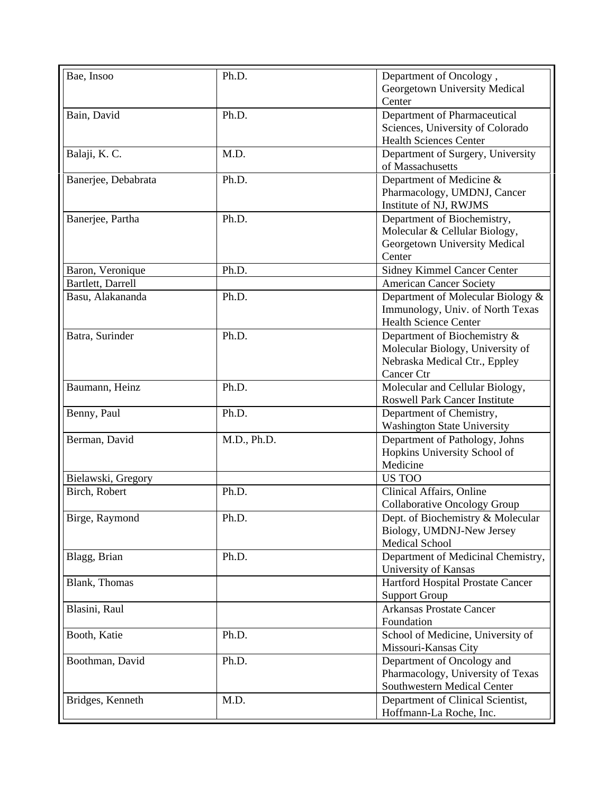| Bae, Insoo          | Ph.D.       | Department of Oncology,                               |
|---------------------|-------------|-------------------------------------------------------|
|                     |             | Georgetown University Medical                         |
|                     |             | Center                                                |
| Bain, David         | Ph.D.       | Department of Pharmaceutical                          |
|                     |             | Sciences, University of Colorado                      |
|                     |             | <b>Health Sciences Center</b>                         |
| Balaji, K. C.       | M.D.        | Department of Surgery, University<br>of Massachusetts |
| Banerjee, Debabrata | Ph.D.       | Department of Medicine &                              |
|                     |             | Pharmacology, UMDNJ, Cancer                           |
|                     |             | Institute of NJ, RWJMS                                |
| Banerjee, Partha    | Ph.D.       | Department of Biochemistry,                           |
|                     |             | Molecular & Cellular Biology,                         |
|                     |             | Georgetown University Medical                         |
|                     |             | Center                                                |
| Baron, Veronique    | Ph.D.       | Sidney Kimmel Cancer Center                           |
| Bartlett, Darrell   |             | <b>American Cancer Society</b>                        |
| Basu, Alakananda    | Ph.D.       | Department of Molecular Biology &                     |
|                     |             | Immunology, Univ. of North Texas                      |
|                     |             | Health Science Center                                 |
| Batra, Surinder     | Ph.D.       | Department of Biochemistry &                          |
|                     |             | Molecular Biology, University of                      |
|                     |             | Nebraska Medical Ctr., Eppley                         |
|                     |             | Cancer Ctr                                            |
| Baumann, Heinz      | Ph.D.       | Molecular and Cellular Biology,                       |
|                     |             | <b>Roswell Park Cancer Institute</b>                  |
| Benny, Paul         | Ph.D.       | Department of Chemistry,                              |
|                     |             | <b>Washington State University</b>                    |
| Berman, David       | M.D., Ph.D. | Department of Pathology, Johns                        |
|                     |             | Hopkins University School of                          |
|                     |             | Medicine                                              |
| Bielawski, Gregory  |             | US TOO                                                |
| Birch, Robert       | Ph.D.       | Clinical Affairs, Online                              |
|                     |             | Collaborative Oncology Group                          |
| Birge, Raymond      | Ph.D.       | Dept. of Biochemistry & Molecular                     |
|                     |             | Biology, UMDNJ-New Jersey                             |
|                     |             | Medical School                                        |
| Blagg, Brian        | Ph.D.       | Department of Medicinal Chemistry,                    |
|                     |             | University of Kansas                                  |
| Blank, Thomas       |             | Hartford Hospital Prostate Cancer                     |
|                     |             | <b>Support Group</b>                                  |
| Blasini, Raul       |             | <b>Arkansas Prostate Cancer</b>                       |
|                     |             | Foundation                                            |
| Booth, Katie        | Ph.D.       | School of Medicine, University of                     |
|                     |             | Missouri-Kansas City                                  |
| Boothman, David     | Ph.D.       | Department of Oncology and                            |
|                     |             | Pharmacology, University of Texas                     |
|                     |             | Southwestern Medical Center                           |
| Bridges, Kenneth    | M.D.        | Department of Clinical Scientist,                     |
|                     |             | Hoffmann-La Roche, Inc.                               |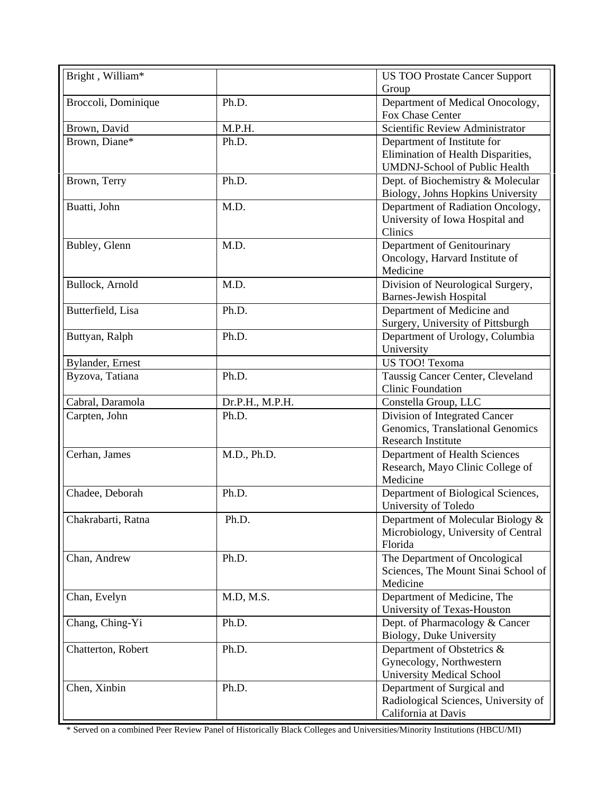|       | <b>US TOO Prostate Cancer Support</b>                                                                       |
|-------|-------------------------------------------------------------------------------------------------------------|
|       | Group                                                                                                       |
|       | Department of Medical Onocology,<br>Fox Chase Center                                                        |
|       | Scientific Review Administrator                                                                             |
|       | Department of Institute for                                                                                 |
|       | Elimination of Health Disparities,                                                                          |
|       | <b>UMDNJ-School of Public Health</b>                                                                        |
|       | Dept. of Biochemistry & Molecular                                                                           |
|       | Biology, Johns Hopkins University                                                                           |
| M.D.  | Department of Radiation Oncology,                                                                           |
|       | University of Iowa Hospital and                                                                             |
|       | Clinics                                                                                                     |
| M.D.  | Department of Genitourinary                                                                                 |
|       | Oncology, Harvard Institute of                                                                              |
|       | Medicine                                                                                                    |
| M.D.  | Division of Neurological Surgery,                                                                           |
|       | <b>Barnes-Jewish Hospital</b>                                                                               |
| Ph.D. | Department of Medicine and                                                                                  |
|       | Surgery, University of Pittsburgh                                                                           |
| Ph.D. | Department of Urology, Columbia                                                                             |
|       | University                                                                                                  |
|       | US TOO! Texoma                                                                                              |
|       | Taussig Cancer Center, Cleveland                                                                            |
|       | <b>Clinic Foundation</b>                                                                                    |
|       | Constella Group, LLC                                                                                        |
| Ph.D. | Division of Integrated Cancer                                                                               |
|       | Genomics, Translational Genomics                                                                            |
|       | <b>Research Institute</b>                                                                                   |
|       | Department of Health Sciences                                                                               |
|       | Research, Mayo Clinic College of                                                                            |
|       | Medicine                                                                                                    |
|       | Department of Biological Sciences,                                                                          |
|       | University of Toledo                                                                                        |
|       | Department of Molecular Biology &                                                                           |
|       | Microbiology, University of Central                                                                         |
|       | Florida                                                                                                     |
| Ph.D. | The Department of Oncological                                                                               |
|       | Sciences, The Mount Sinai School of                                                                         |
|       | Medicine                                                                                                    |
|       | Department of Medicine, The                                                                                 |
|       | University of Texas-Houston                                                                                 |
| Ph.D. | Dept. of Pharmacology & Cancer                                                                              |
|       | Biology, Duke University                                                                                    |
| Ph.D. | Department of Obstetrics &                                                                                  |
|       | Gynecology, Northwestern                                                                                    |
|       | <b>University Medical School</b>                                                                            |
| Ph.D. | Department of Surgical and                                                                                  |
|       | Radiological Sciences, University of                                                                        |
|       | California at Davis                                                                                         |
|       | Ph.D.<br>M.P.H.<br>Ph.D.<br>Ph.D.<br>Ph.D.<br>Dr.P.H., M.P.H.<br>M.D., Ph.D.<br>Ph.D.<br>Ph.D.<br>M.D, M.S. |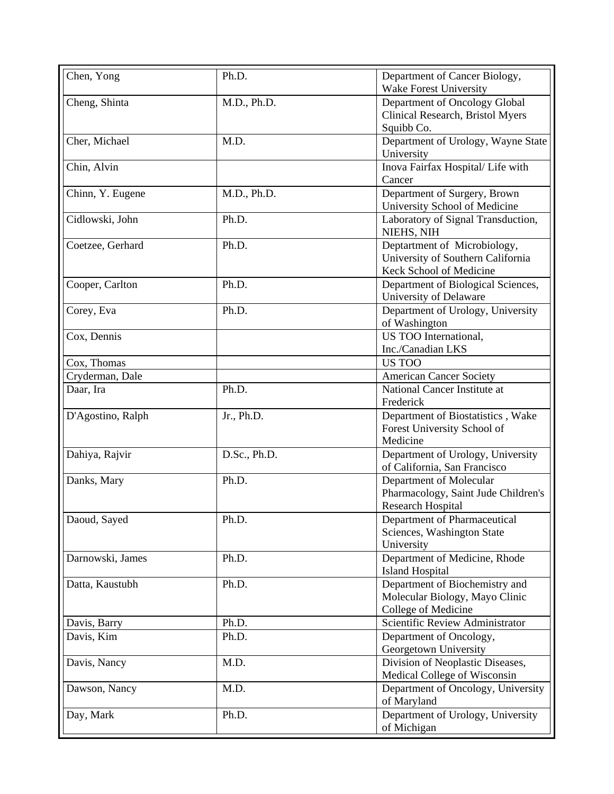| Chen, Yong        | Ph.D.        | Department of Cancer Biology,<br>Wake Forest University                                      |
|-------------------|--------------|----------------------------------------------------------------------------------------------|
| Cheng, Shinta     | M.D., Ph.D.  | Department of Oncology Global<br>Clinical Research, Bristol Myers<br>Squibb Co.              |
| Cher, Michael     | M.D.         | Department of Urology, Wayne State<br>University                                             |
| Chin, Alvin       |              | Inova Fairfax Hospital/Life with<br>Cancer                                                   |
| Chinn, Y. Eugene  | M.D., Ph.D.  | Department of Surgery, Brown<br>University School of Medicine                                |
| Cidlowski, John   | Ph.D.        | Laboratory of Signal Transduction,<br>NIEHS, NIH                                             |
| Coetzee, Gerhard  | Ph.D.        | Deptartment of Microbiology,<br>University of Southern California<br>Keck School of Medicine |
| Cooper, Carlton   | Ph.D.        | Department of Biological Sciences,<br>University of Delaware                                 |
| Corey, Eva        | Ph.D.        | Department of Urology, University<br>of Washington                                           |
| Cox, Dennis       |              | US TOO International,<br>Inc./Canadian LKS                                                   |
| Cox, Thomas       |              | <b>US TOO</b>                                                                                |
| Cryderman, Dale   |              | <b>American Cancer Society</b>                                                               |
| Daar, Ira         | Ph.D.        | National Cancer Institute at<br>Frederick                                                    |
| D'Agostino, Ralph | Jr., Ph.D.   | Department of Biostatistics, Wake<br>Forest University School of<br>Medicine                 |
| Dahiya, Rajvir    | D.Sc., Ph.D. | Department of Urology, University<br>of California, San Francisco                            |
| Danks, Mary       | Ph.D.        | Department of Molecular<br>Pharmacology, Saint Jude Children's<br><b>Research Hospital</b>   |
| Daoud, Sayed      | Ph.D.        | Department of Pharmaceutical<br>Sciences, Washington State<br>University                     |
| Darnowski, James  | Ph.D.        | Department of Medicine, Rhode<br><b>Island Hospital</b>                                      |
| Datta, Kaustubh   | Ph.D.        | Department of Biochemistry and<br>Molecular Biology, Mayo Clinic<br>College of Medicine      |
| Davis, Barry      | Ph.D.        | Scientific Review Administrator                                                              |
| Davis, Kim        | Ph.D.        | Department of Oncology,<br>Georgetown University                                             |
| Davis, Nancy      | M.D.         | Division of Neoplastic Diseases,<br>Medical College of Wisconsin                             |
| Dawson, Nancy     | M.D.         | Department of Oncology, University<br>of Maryland                                            |
| Day, Mark         | Ph.D.        | Department of Urology, University<br>of Michigan                                             |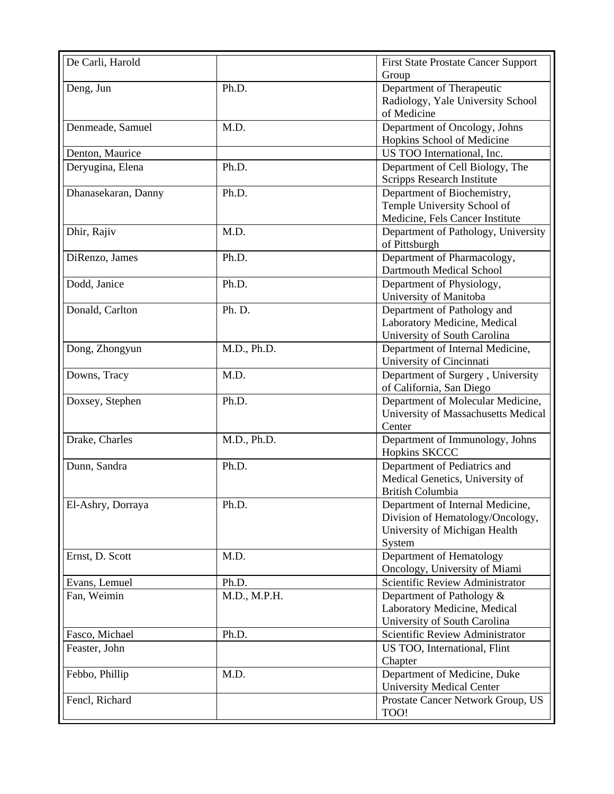| De Carli, Harold    |              | <b>First State Prostate Cancer Support</b><br>Group                                                             |
|---------------------|--------------|-----------------------------------------------------------------------------------------------------------------|
| Deng, Jun           | Ph.D.        | Department of Therapeutic<br>Radiology, Yale University School<br>of Medicine                                   |
| Denmeade, Samuel    | M.D.         | Department of Oncology, Johns<br>Hopkins School of Medicine                                                     |
| Denton, Maurice     |              | US TOO International, Inc.                                                                                      |
| Deryugina, Elena    | Ph.D.        | Department of Cell Biology, The<br><b>Scripps Research Institute</b>                                            |
| Dhanasekaran, Danny | Ph.D.        | Department of Biochemistry,<br>Temple University School of<br>Medicine, Fels Cancer Institute                   |
| Dhir, Rajiv         | M.D.         | Department of Pathology, University<br>of Pittsburgh                                                            |
| DiRenzo, James      | Ph.D.        | Department of Pharmacology,<br>Dartmouth Medical School                                                         |
| Dodd, Janice        | Ph.D.        | Department of Physiology,<br>University of Manitoba                                                             |
| Donald, Carlton     | Ph. D.       | Department of Pathology and<br>Laboratory Medicine, Medical<br>University of South Carolina                     |
| Dong, Zhongyun      | M.D., Ph.D.  | Department of Internal Medicine,<br>University of Cincinnati                                                    |
| Downs, Tracy        | M.D.         | Department of Surgery, University<br>of California, San Diego                                                   |
| Doxsey, Stephen     | Ph.D.        | Department of Molecular Medicine,<br>University of Massachusetts Medical<br>Center                              |
| Drake, Charles      | M.D., Ph.D.  | Department of Immunology, Johns<br><b>Hopkins SKCCC</b>                                                         |
| Dunn, Sandra        | Ph.D.        | Department of Pediatrics and<br>Medical Genetics, University of<br>British Columbia                             |
| El-Ashry, Dorraya   | Ph.D.        | Department of Internal Medicine,<br>Division of Hematology/Oncology,<br>University of Michigan Health<br>System |
| Ernst, D. Scott     | M.D.         | Department of Hematology<br>Oncology, University of Miami                                                       |
| Evans, Lemuel       | Ph.D.        | Scientific Review Administrator                                                                                 |
| Fan, Weimin         | M.D., M.P.H. | Department of Pathology &<br>Laboratory Medicine, Medical<br>University of South Carolina                       |
| Fasco, Michael      | Ph.D.        | Scientific Review Administrator                                                                                 |
| Feaster, John       |              | US TOO, International, Flint<br>Chapter                                                                         |
| Febbo, Phillip      | M.D.         | Department of Medicine, Duke<br><b>University Medical Center</b>                                                |
| Fencl, Richard      |              | Prostate Cancer Network Group, US<br>TOO!                                                                       |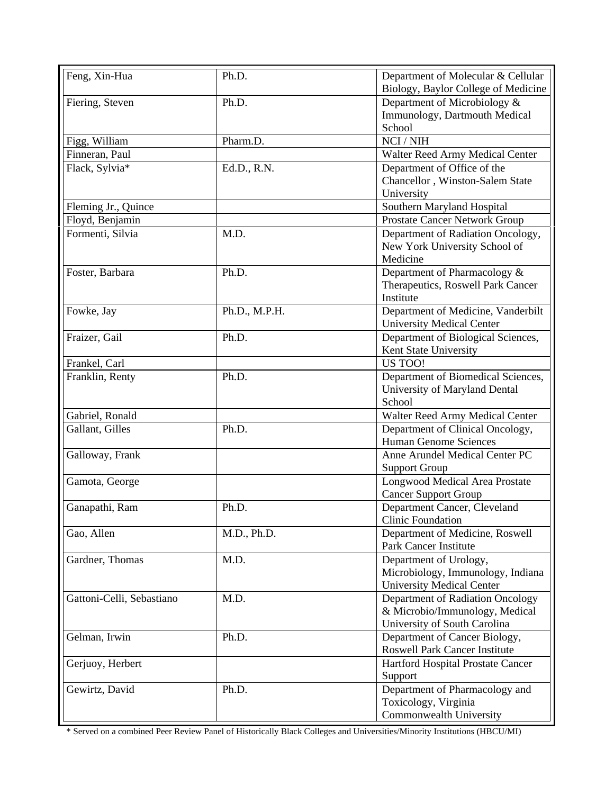| Feng, Xin-Hua             | Ph.D.         | Department of Molecular & Cellular<br>Biology, Baylor College of Medicine |
|---------------------------|---------------|---------------------------------------------------------------------------|
| Fiering, Steven           | Ph.D.         | Department of Microbiology &                                              |
|                           |               | Immunology, Dartmouth Medical                                             |
|                           |               | School                                                                    |
| Figg, William             | Pharm.D.      | NCI / NIH                                                                 |
| Finneran, Paul            |               | Walter Reed Army Medical Center                                           |
| Flack, Sylvia*            | Ed.D., R.N.   | Department of Office of the                                               |
|                           |               | Chancellor, Winston-Salem State                                           |
|                           |               | University                                                                |
| Fleming Jr., Quince       |               | Southern Maryland Hospital                                                |
| Floyd, Benjamin           |               | Prostate Cancer Network Group                                             |
| Formenti, Silvia          | M.D.          | Department of Radiation Oncology,                                         |
|                           |               | New York University School of                                             |
|                           |               | Medicine                                                                  |
| Foster, Barbara           | Ph.D.         | Department of Pharmacology &                                              |
|                           |               | Therapeutics, Roswell Park Cancer                                         |
|                           |               | Institute                                                                 |
| Fowke, Jay                | Ph.D., M.P.H. | Department of Medicine, Vanderbilt                                        |
|                           |               | <b>University Medical Center</b>                                          |
| Fraizer, Gail             | Ph.D.         | Department of Biological Sciences,                                        |
|                           |               | Kent State University                                                     |
| Frankel, Carl             |               | US TOO!                                                                   |
| Franklin, Renty           | Ph.D.         | Department of Biomedical Sciences,                                        |
|                           |               | University of Maryland Dental                                             |
|                           |               | School                                                                    |
| Gabriel, Ronald           |               | Walter Reed Army Medical Center                                           |
| Gallant, Gilles           | Ph.D.         | Department of Clinical Oncology,                                          |
|                           |               | Human Genome Sciences                                                     |
| Galloway, Frank           |               | Anne Arundel Medical Center PC                                            |
|                           |               | <b>Support Group</b>                                                      |
| Gamota, George            |               | Longwood Medical Area Prostate                                            |
|                           |               | <b>Cancer Support Group</b>                                               |
| Ganapathi, Ram            | Ph.D.         | Department Cancer, Cleveland                                              |
|                           |               | Clinic Foundation                                                         |
| Gao, Allen                | M.D., Ph.D.   | Department of Medicine, Roswell                                           |
|                           |               | <b>Park Cancer Institute</b>                                              |
| Gardner, Thomas           | M.D.          | Department of Urology,                                                    |
|                           |               | Microbiology, Immunology, Indiana                                         |
|                           |               | <b>University Medical Center</b>                                          |
| Gattoni-Celli, Sebastiano | M.D.          | Department of Radiation Oncology                                          |
|                           |               | & Microbio/Immunology, Medical                                            |
|                           |               | University of South Carolina                                              |
| Gelman, Irwin             | Ph.D.         | Department of Cancer Biology,                                             |
|                           |               | <b>Roswell Park Cancer Institute</b>                                      |
| Gerjuoy, Herbert          |               | Hartford Hospital Prostate Cancer                                         |
|                           |               | Support                                                                   |
| Gewirtz, David            | Ph.D.         | Department of Pharmacology and                                            |
|                           |               | Toxicology, Virginia                                                      |
|                           |               | Commonwealth University                                                   |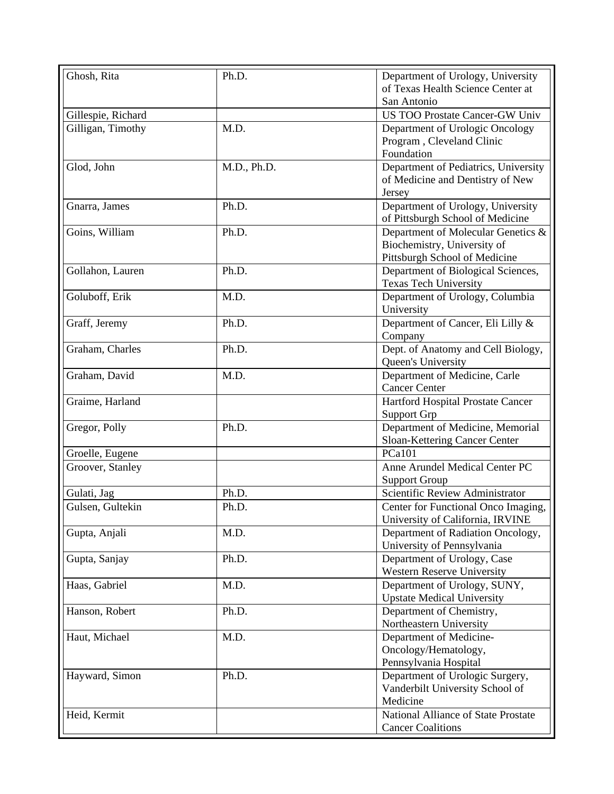| Ghosh, Rita        | Ph.D.       | Department of Urology, University                      |
|--------------------|-------------|--------------------------------------------------------|
|                    |             | of Texas Health Science Center at                      |
|                    |             | San Antonio                                            |
| Gillespie, Richard |             | <b>US TOO Prostate Cancer-GW Univ</b>                  |
| Gilligan, Timothy  | M.D.        | Department of Urologic Oncology                        |
|                    |             | Program, Cleveland Clinic                              |
|                    |             | Foundation                                             |
| Glod, John         | M.D., Ph.D. | Department of Pediatrics, University                   |
|                    |             | of Medicine and Dentistry of New<br>Jersey             |
| Gnarra, James      | Ph.D.       | Department of Urology, University                      |
|                    |             | of Pittsburgh School of Medicine                       |
| Goins, William     | Ph.D.       | Department of Molecular Genetics &                     |
|                    |             | Biochemistry, University of                            |
|                    |             | Pittsburgh School of Medicine                          |
| Gollahon, Lauren   | Ph.D.       | Department of Biological Sciences,                     |
|                    |             | <b>Texas Tech University</b>                           |
| Goluboff, Erik     | M.D.        | Department of Urology, Columbia                        |
|                    |             | University                                             |
| Graff, Jeremy      | Ph.D.       | Department of Cancer, Eli Lilly &                      |
|                    |             | Company                                                |
| Graham, Charles    | Ph.D.       | Dept. of Anatomy and Cell Biology,                     |
|                    |             | Queen's University                                     |
| Graham, David      | M.D.        | Department of Medicine, Carle                          |
|                    |             | <b>Cancer Center</b>                                   |
| Graime, Harland    |             | Hartford Hospital Prostate Cancer                      |
|                    |             | <b>Support Grp</b>                                     |
| Gregor, Polly      | Ph.D.       | Department of Medicine, Memorial                       |
|                    |             | Sloan-Kettering Cancer Center                          |
| Groelle, Eugene    |             | <b>PCa101</b>                                          |
| Groover, Stanley   |             | Anne Arundel Medical Center PC<br><b>Support Group</b> |
| Gulati, Jag        | Ph.D.       | Scientific Review Administrator                        |
| Gulsen, Gultekin   | Ph.D.       | Center for Functional Onco Imaging,                    |
|                    |             | University of California, IRVINE                       |
| Gupta, Anjali      | M.D.        | Department of Radiation Oncology,                      |
|                    |             | University of Pennsylvania                             |
| Gupta, Sanjay      | Ph.D.       | Department of Urology, Case                            |
|                    |             | <b>Western Reserve University</b>                      |
| Haas, Gabriel      | M.D.        | Department of Urology, SUNY,                           |
|                    |             | <b>Upstate Medical University</b>                      |
| Hanson, Robert     | Ph.D.       | Department of Chemistry,                               |
|                    |             | Northeastern University                                |
| Haut, Michael      | M.D.        | Department of Medicine-                                |
|                    |             | Oncology/Hematology,                                   |
|                    |             | Pennsylvania Hospital                                  |
| Hayward, Simon     | Ph.D.       | Department of Urologic Surgery,                        |
|                    |             | Vanderbilt University School of                        |
|                    |             | Medicine                                               |
| Heid, Kermit       |             | National Alliance of State Prostate                    |
|                    |             | <b>Cancer Coalitions</b>                               |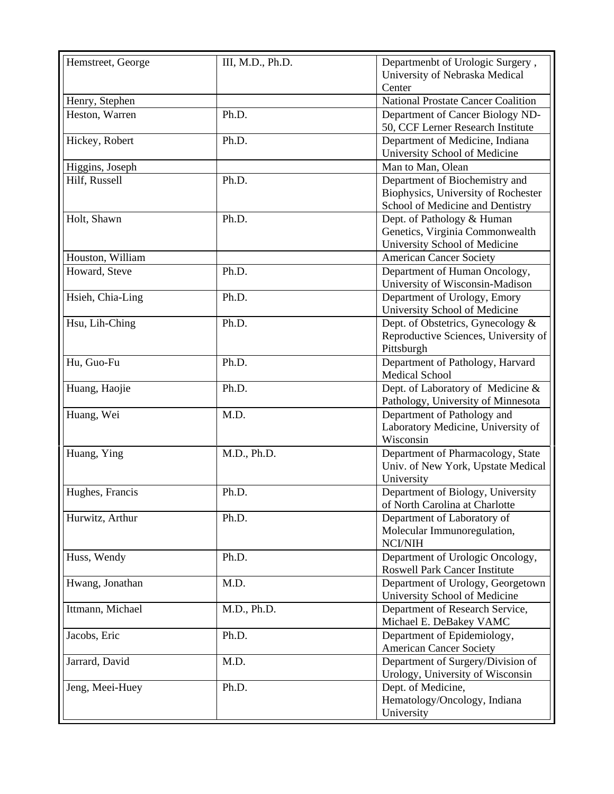| Hemstreet, George | III, M.D., Ph.D. | Departmenbt of Urologic Surgery,<br>University of Nebraska Medical<br>Center                              |
|-------------------|------------------|-----------------------------------------------------------------------------------------------------------|
| Henry, Stephen    |                  | <b>National Prostate Cancer Coalition</b>                                                                 |
| Heston, Warren    | Ph.D.            | Department of Cancer Biology ND-<br>50, CCF Lerner Research Institute                                     |
| Hickey, Robert    | Ph.D.            | Department of Medicine, Indiana<br>University School of Medicine                                          |
| Higgins, Joseph   |                  | Man to Man, Olean                                                                                         |
| Hilf, Russell     | Ph.D.            | Department of Biochemistry and<br>Biophysics, University of Rochester<br>School of Medicine and Dentistry |
| Holt, Shawn       | Ph.D.            | Dept. of Pathology & Human<br>Genetics, Virginia Commonwealth<br>University School of Medicine            |
| Houston, William  |                  | <b>American Cancer Society</b>                                                                            |
| Howard, Steve     | Ph.D.            | Department of Human Oncology,                                                                             |
|                   |                  | University of Wisconsin-Madison                                                                           |
| Hsieh, Chia-Ling  | Ph.D.            | Department of Urology, Emory<br>University School of Medicine                                             |
| Hsu, Lih-Ching    | Ph.D.            | Dept. of Obstetrics, Gynecology &<br>Reproductive Sciences, University of<br>Pittsburgh                   |
| Hu, Guo-Fu        | Ph.D.            | Department of Pathology, Harvard<br><b>Medical School</b>                                                 |
| Huang, Haojie     | Ph.D.            | Dept. of Laboratory of Medicine &<br>Pathology, University of Minnesota                                   |
| Huang, Wei        | M.D.             | Department of Pathology and<br>Laboratory Medicine, University of<br>Wisconsin                            |
| Huang, Ying       | M.D., Ph.D.      | Department of Pharmacology, State<br>Univ. of New York, Upstate Medical<br>University                     |
| Hughes, Francis   | Ph.D.            | Department of Biology, University<br>of North Carolina at Charlotte                                       |
| Hurwitz, Arthur   | Ph.D.            | Department of Laboratory of<br>Molecular Immunoregulation,<br>NCI/NIH                                     |
| Huss, Wendy       | Ph.D.            | Department of Urologic Oncology,<br><b>Roswell Park Cancer Institute</b>                                  |
| Hwang, Jonathan   | M.D.             | Department of Urology, Georgetown<br>University School of Medicine                                        |
| Ittmann, Michael  | M.D., Ph.D.      | Department of Research Service,<br>Michael E. DeBakey VAMC                                                |
| Jacobs, Eric      | Ph.D.            | Department of Epidemiology,<br><b>American Cancer Society</b>                                             |
| Jarrard, David    | M.D.             | Department of Surgery/Division of<br>Urology, University of Wisconsin                                     |
| Jeng, Meei-Huey   | Ph.D.            | Dept. of Medicine,<br>Hematology/Oncology, Indiana<br>University                                          |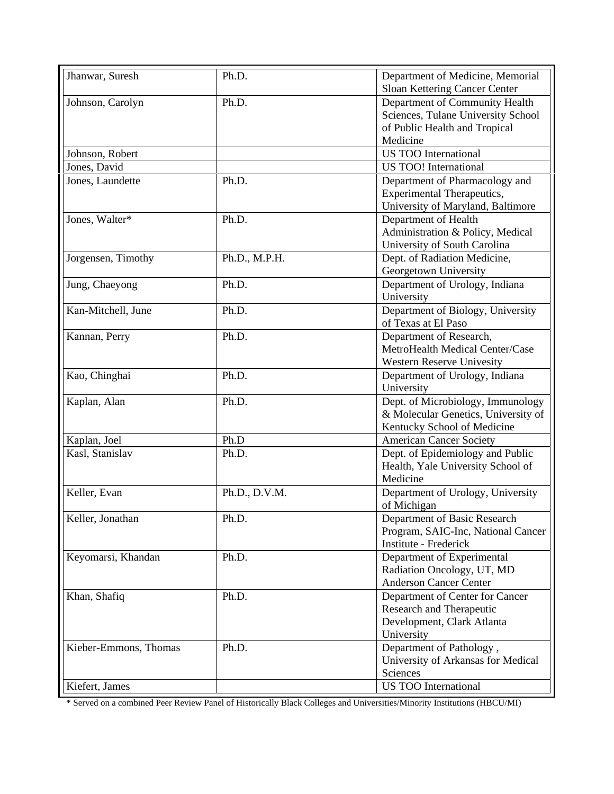| Jhanwar, Suresh       | Ph.D.         | Department of Medicine, Memorial    |
|-----------------------|---------------|-------------------------------------|
|                       |               | Sloan Kettering Cancer Center       |
| Johnson, Carolyn      | Ph.D.         | Department of Community Health      |
|                       |               | Sciences, Tulane University School  |
|                       |               | of Public Health and Tropical       |
|                       |               | Medicine                            |
| Johnson, Robert       |               | <b>US TOO International</b>         |
| Jones, David          |               | <b>US TOO!</b> International        |
| Jones, Laundette      | Ph.D.         | Department of Pharmacology and      |
|                       |               | <b>Experimental Therapeutics,</b>   |
|                       |               | University of Maryland, Baltimore   |
| Jones, Walter*        | Ph.D.         | Department of Health                |
|                       |               | Administration & Policy, Medical    |
|                       |               | University of South Carolina        |
| Jorgensen, Timothy    | Ph.D., M.P.H. | Dept. of Radiation Medicine,        |
|                       |               | Georgetown University               |
| Jung, Chaeyong        | Ph.D.         | Department of Urology, Indiana      |
|                       |               | University                          |
| Kan-Mitchell, June    | Ph.D.         | Department of Biology, University   |
|                       |               | of Texas at El Paso                 |
| Kannan, Perry         | Ph.D.         | Department of Research,             |
|                       |               | MetroHealth Medical Center/Case     |
|                       |               | Western Reserve Univesity           |
| Kao, Chinghai         | Ph.D.         | Department of Urology, Indiana      |
|                       |               | University                          |
| Kaplan, Alan          | Ph.D.         | Dept. of Microbiology, Immunology   |
|                       |               | & Molecular Genetics, University of |
|                       |               | Kentucky School of Medicine         |
| Kaplan, Joel          | Ph.D          | <b>American Cancer Society</b>      |
| Kasl, Stanislav       | Ph.D.         | Dept. of Epidemiology and Public    |
|                       |               | Health, Yale University School of   |
|                       |               | Medicine                            |
|                       |               |                                     |
| Keller, Evan          | Ph.D., D.V.M. | Department of Urology, University   |
|                       |               | of Michigan                         |
| Keller, Jonathan      | Ph.D.         | Department of Basic Research        |
|                       |               | Program, SAIC-Inc, National Cancer  |
|                       |               | Institute - Frederick               |
| Keyomarsi, Khandan    | Ph.D.         | Department of Experimental          |
|                       |               | Radiation Oncology, UT, MD          |
|                       |               | <b>Anderson Cancer Center</b>       |
| Khan, Shafiq          | Ph.D.         | Department of Center for Cancer     |
|                       |               | Research and Therapeutic            |
|                       |               | Development, Clark Atlanta          |
|                       |               | University                          |
| Kieber-Emmons, Thomas | Ph.D.         | Department of Pathology,            |
|                       |               | University of Arkansas for Medical  |
|                       |               | Sciences                            |
| Kiefert, James        |               | US TOO International                |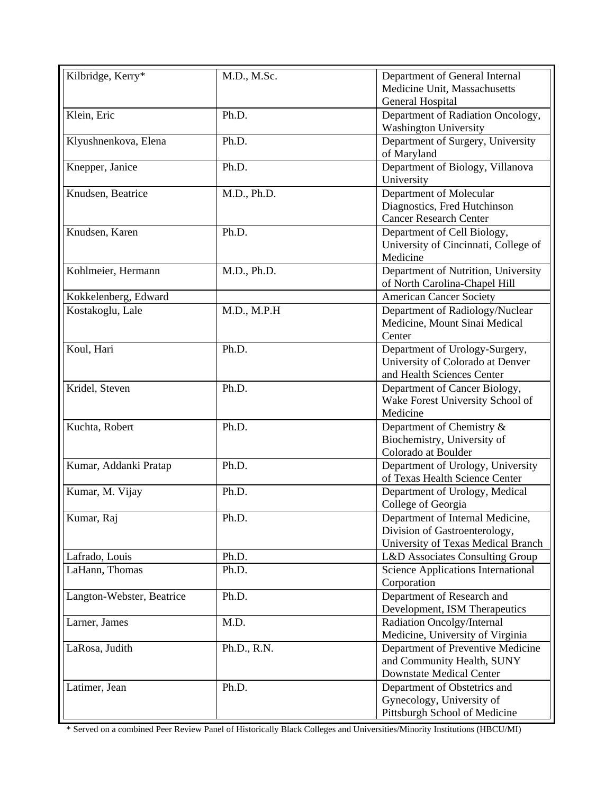| Kilbridge, Kerry*         | M.D., M.Sc. | Department of General Internal                                      |
|---------------------------|-------------|---------------------------------------------------------------------|
|                           |             | Medicine Unit, Massachusetts                                        |
|                           |             | General Hospital                                                    |
| Klein, Eric               | Ph.D.       | Department of Radiation Oncology,                                   |
|                           |             | <b>Washington University</b>                                        |
| Klyushnenkova, Elena      | Ph.D.       | Department of Surgery, University                                   |
|                           |             | of Maryland                                                         |
| Knepper, Janice           | Ph.D.       | Department of Biology, Villanova                                    |
|                           |             | University                                                          |
| Knudsen, Beatrice         | M.D., Ph.D. | Department of Molecular                                             |
|                           |             | Diagnostics, Fred Hutchinson                                        |
|                           |             | <b>Cancer Research Center</b>                                       |
| Knudsen, Karen            | Ph.D.       | Department of Cell Biology,                                         |
|                           |             | University of Cincinnati, College of                                |
|                           |             | Medicine                                                            |
| Kohlmeier, Hermann        | M.D., Ph.D. | Department of Nutrition, University                                 |
|                           |             | of North Carolina-Chapel Hill                                       |
| Kokkelenberg, Edward      |             | <b>American Cancer Society</b>                                      |
| Kostakoglu, Lale          | M.D., M.P.H | Department of Radiology/Nuclear                                     |
|                           |             | Medicine, Mount Sinai Medical                                       |
|                           |             | Center                                                              |
| Koul, Hari                | Ph.D.       | Department of Urology-Surgery,                                      |
|                           |             | University of Colorado at Denver                                    |
|                           |             | and Health Sciences Center                                          |
| Kridel, Steven            | Ph.D.       | Department of Cancer Biology,                                       |
|                           |             | Wake Forest University School of                                    |
|                           |             | Medicine                                                            |
| Kuchta, Robert            | Ph.D.       | Department of Chemistry &                                           |
|                           |             | Biochemistry, University of                                         |
|                           |             | Colorado at Boulder                                                 |
| Kumar, Addanki Pratap     | Ph.D.       | Department of Urology, University                                   |
|                           |             | of Texas Health Science Center                                      |
| Kumar, M. Vijay           | Ph.D.       | Department of Urology, Medical<br>College of Georgia                |
|                           |             |                                                                     |
| Kumar, Raj                | Ph.D.       | Department of Internal Medicine,                                    |
|                           |             | Division of Gastroenterology,<br>University of Texas Medical Branch |
| Lafrado, Louis            | Ph.D.       | L&D Associates Consulting Group                                     |
| LaHann, Thomas            | Ph.D.       | <b>Science Applications International</b>                           |
|                           |             | Corporation                                                         |
|                           | Ph.D.       | Department of Research and                                          |
| Langton-Webster, Beatrice |             | Development, ISM Therapeutics                                       |
| Larner, James             | M.D.        | Radiation Oncolgy/Internal                                          |
|                           |             | Medicine, University of Virginia                                    |
| LaRosa, Judith            | Ph.D., R.N. | Department of Preventive Medicine                                   |
|                           |             | and Community Health, SUNY                                          |
|                           |             | <b>Downstate Medical Center</b>                                     |
| Latimer, Jean             | Ph.D.       | Department of Obstetrics and                                        |
|                           |             | Gynecology, University of                                           |
|                           |             | Pittsburgh School of Medicine                                       |
|                           |             |                                                                     |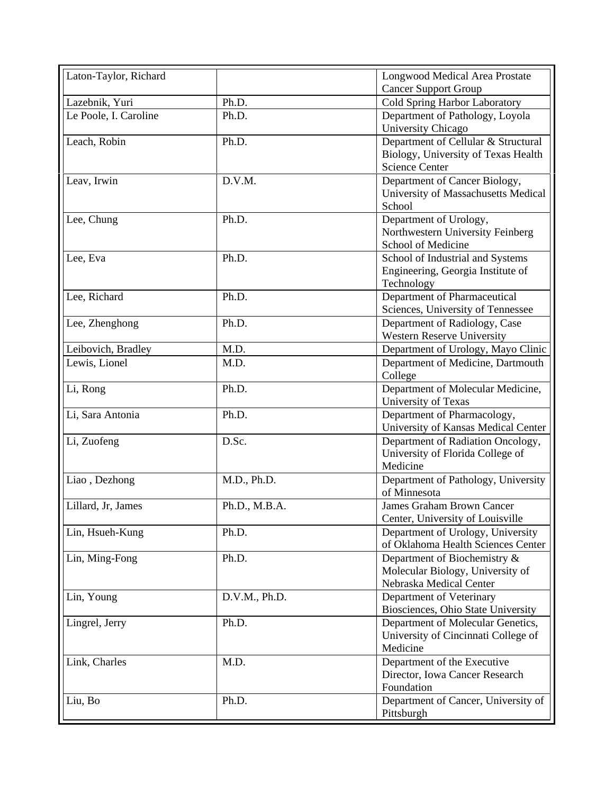| Laton-Taylor, Richard |               | Longwood Medical Area Prostate      |
|-----------------------|---------------|-------------------------------------|
|                       |               | <b>Cancer Support Group</b>         |
| Lazebnik, Yuri        | Ph.D.         | Cold Spring Harbor Laboratory       |
| Le Poole, I. Caroline | Ph.D.         | Department of Pathology, Loyola     |
|                       |               | University Chicago                  |
| Leach, Robin          | Ph.D.         | Department of Cellular & Structural |
|                       |               | Biology, University of Texas Health |
|                       |               | <b>Science Center</b>               |
| Leav, Irwin           | D.V.M.        | Department of Cancer Biology,       |
|                       |               | University of Massachusetts Medical |
|                       |               | School                              |
| Lee, Chung            | Ph.D.         | Department of Urology,              |
|                       |               | Northwestern University Feinberg    |
|                       |               | School of Medicine                  |
| Lee, Eva              | Ph.D.         | School of Industrial and Systems    |
|                       |               | Engineering, Georgia Institute of   |
|                       |               | Technology                          |
| Lee, Richard          | Ph.D.         | Department of Pharmaceutical        |
|                       |               | Sciences, University of Tennessee   |
| Lee, Zhenghong        | Ph.D.         | Department of Radiology, Case       |
|                       |               | <b>Western Reserve University</b>   |
| Leibovich, Bradley    | M.D.          | Department of Urology, Mayo Clinic  |
| Lewis, Lionel         | M.D.          | Department of Medicine, Dartmouth   |
|                       |               | College                             |
| Li, Rong              | Ph.D.         | Department of Molecular Medicine,   |
|                       |               | University of Texas                 |
| Li, Sara Antonia      | Ph.D.         | Department of Pharmacology,         |
|                       |               | University of Kansas Medical Center |
| Li, Zuofeng           | D.Sc.         | Department of Radiation Oncology,   |
|                       |               | University of Florida College of    |
|                       |               | Medicine                            |
| Liao, Dezhong         | M.D., Ph.D.   | Department of Pathology, University |
|                       |               | of Minnesota                        |
| Lillard, Jr, James    | Ph.D., M.B.A. | James Graham Brown Cancer           |
|                       |               | Center, University of Louisville    |
| Lin, Hsueh-Kung       | Ph.D.         | Department of Urology, University   |
|                       |               | of Oklahoma Health Sciences Center  |
| Lin, Ming-Fong        | Ph.D.         | Department of Biochemistry &        |
|                       |               | Molecular Biology, University of    |
|                       |               | Nebraska Medical Center             |
| Lin, Young            | D.V.M., Ph.D. | Department of Veterinary            |
|                       |               | Biosciences, Ohio State University  |
| Lingrel, Jerry        | Ph.D.         | Department of Molecular Genetics,   |
|                       |               | University of Cincinnati College of |
|                       |               | Medicine                            |
| Link, Charles         | M.D.          | Department of the Executive         |
|                       |               | Director, Iowa Cancer Research      |
|                       |               | Foundation                          |
| Liu, Bo               | Ph.D.         | Department of Cancer, University of |
|                       |               | Pittsburgh                          |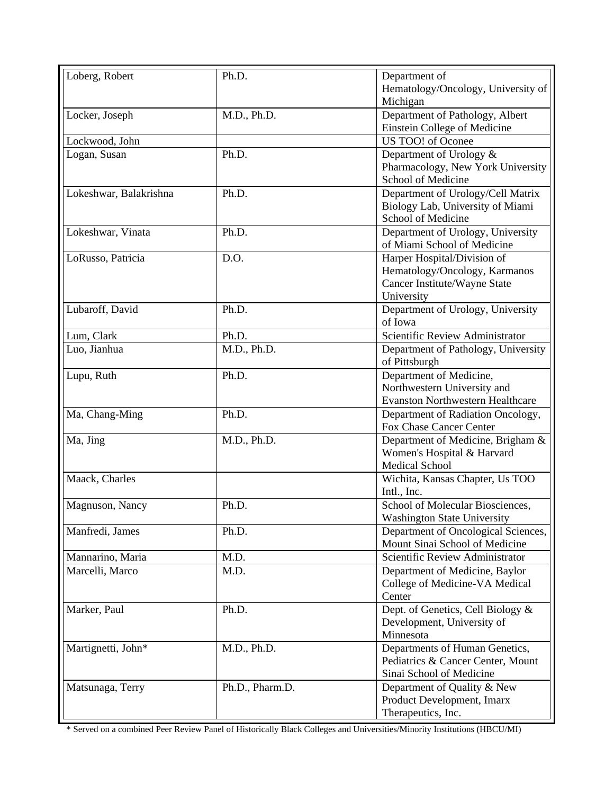| Loberg, Robert         | Ph.D.           | Department of<br>Hematology/Oncology, University of<br>Michigan                                            |
|------------------------|-----------------|------------------------------------------------------------------------------------------------------------|
| Locker, Joseph         | M.D., Ph.D.     | Department of Pathology, Albert<br>Einstein College of Medicine                                            |
| Lockwood, John         |                 | US TOO! of Oconee                                                                                          |
| Logan, Susan           | Ph.D.           | Department of Urology &<br>Pharmacology, New York University<br>School of Medicine                         |
| Lokeshwar, Balakrishna | Ph.D.           | Department of Urology/Cell Matrix<br>Biology Lab, University of Miami<br>School of Medicine                |
| Lokeshwar, Vinata      | Ph.D.           | Department of Urology, University<br>of Miami School of Medicine                                           |
| LoRusso, Patricia      | D.O.            | Harper Hospital/Division of<br>Hematology/Oncology, Karmanos<br>Cancer Institute/Wayne State<br>University |
| Lubaroff, David        | Ph.D.           | Department of Urology, University<br>of Iowa                                                               |
| Lum, Clark             | Ph.D.           | Scientific Review Administrator                                                                            |
| Luo, Jianhua           | M.D., Ph.D.     | Department of Pathology, University<br>of Pittsburgh                                                       |
| Lupu, Ruth             | Ph.D.           | Department of Medicine,<br>Northwestern University and<br><b>Evanston Northwestern Healthcare</b>          |
| Ma, Chang-Ming         | Ph.D.           | Department of Radiation Oncology,<br>Fox Chase Cancer Center                                               |
| Ma, Jing               | M.D., Ph.D.     | Department of Medicine, Brigham &<br>Women's Hospital & Harvard<br><b>Medical School</b>                   |
| Maack, Charles         |                 | Wichita, Kansas Chapter, Us TOO<br>Intl., Inc.                                                             |
| Magnuson, Nancy        | Ph.D.           | School of Molecular Biosciences,<br><b>Washington State University</b>                                     |
| Manfredi, James        | Ph.D.           | Department of Oncological Sciences,<br>Mount Sinai School of Medicine                                      |
| Mannarino, Maria       | M.D.            | Scientific Review Administrator                                                                            |
| Marcelli, Marco        | M.D.            | Department of Medicine, Baylor<br>College of Medicine-VA Medical<br>Center                                 |
| Marker, Paul           | Ph.D.           | Dept. of Genetics, Cell Biology &<br>Development, University of<br>Minnesota                               |
| Martignetti, John*     | M.D., Ph.D.     | Departments of Human Genetics,<br>Pediatrics & Cancer Center, Mount<br>Sinai School of Medicine            |
| Matsunaga, Terry       | Ph.D., Pharm.D. | Department of Quality & New<br>Product Development, Imarx<br>Therapeutics, Inc.                            |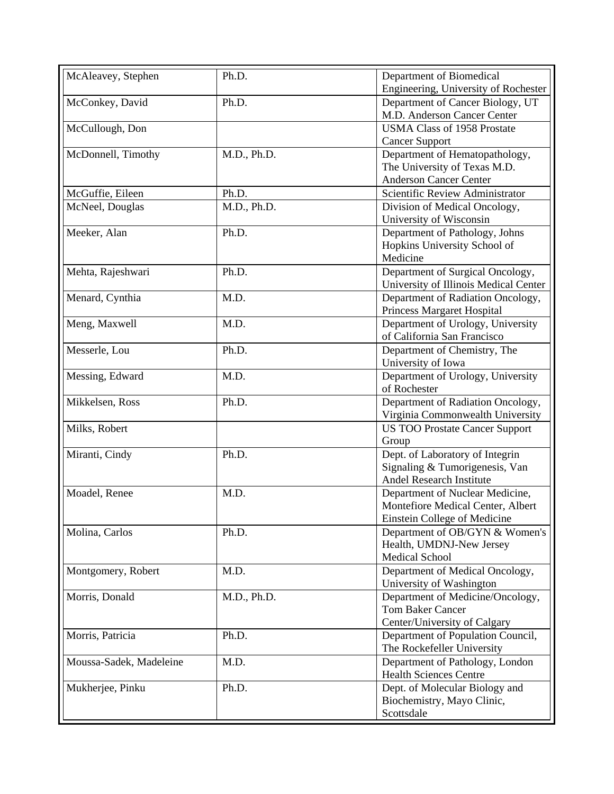| McAleavey, Stephen      | Ph.D.       | Department of Biomedical<br>Engineering, University of Rochester                                     |
|-------------------------|-------------|------------------------------------------------------------------------------------------------------|
| McConkey, David         | Ph.D.       | Department of Cancer Biology, UT<br>M.D. Anderson Cancer Center                                      |
| McCullough, Don         |             | <b>USMA Class of 1958 Prostate</b><br><b>Cancer Support</b>                                          |
| McDonnell, Timothy      | M.D., Ph.D. | Department of Hematopathology,<br>The University of Texas M.D.<br><b>Anderson Cancer Center</b>      |
| McGuffie, Eileen        | Ph.D.       | Scientific Review Administrator                                                                      |
| McNeel, Douglas         | M.D., Ph.D. | Division of Medical Oncology,                                                                        |
|                         |             | University of Wisconsin                                                                              |
| Meeker, Alan            | Ph.D.       | Department of Pathology, Johns<br>Hopkins University School of<br>Medicine                           |
| Mehta, Rajeshwari       | Ph.D.       | Department of Surgical Oncology,<br>University of Illinois Medical Center                            |
| Menard, Cynthia         | M.D.        | Department of Radiation Oncology,<br>Princess Margaret Hospital                                      |
| Meng, Maxwell           | M.D.        | Department of Urology, University<br>of California San Francisco                                     |
| Messerle, Lou           | Ph.D.       | Department of Chemistry, The<br>University of Iowa                                                   |
| Messing, Edward         | M.D.        | Department of Urology, University<br>of Rochester                                                    |
| Mikkelsen, Ross         | Ph.D.       | Department of Radiation Oncology,<br>Virginia Commonwealth University                                |
| Milks, Robert           |             | <b>US TOO Prostate Cancer Support</b><br>Group                                                       |
| Miranti, Cindy          | Ph.D.       | Dept. of Laboratory of Integrin<br>Signaling & Tumorigenesis, Van<br>Andel Research Institute        |
| Moadel, Renee           | M.D.        | Department of Nuclear Medicine,<br>Montefiore Medical Center, Albert<br>Einstein College of Medicine |
| Molina, Carlos          | Ph.D.       | Department of OB/GYN & Women's<br>Health, UMDNJ-New Jersey<br><b>Medical School</b>                  |
| Montgomery, Robert      | M.D.        | Department of Medical Oncology,<br>University of Washington                                          |
| Morris, Donald          | M.D., Ph.D. | Department of Medicine/Oncology,<br><b>Tom Baker Cancer</b><br>Center/University of Calgary          |
| Morris, Patricia        | Ph.D.       | Department of Population Council,<br>The Rockefeller University                                      |
| Moussa-Sadek, Madeleine | M.D.        | Department of Pathology, London<br><b>Health Sciences Centre</b>                                     |
| Mukherjee, Pinku        | Ph.D.       | Dept. of Molecular Biology and<br>Biochemistry, Mayo Clinic,<br>Scottsdale                           |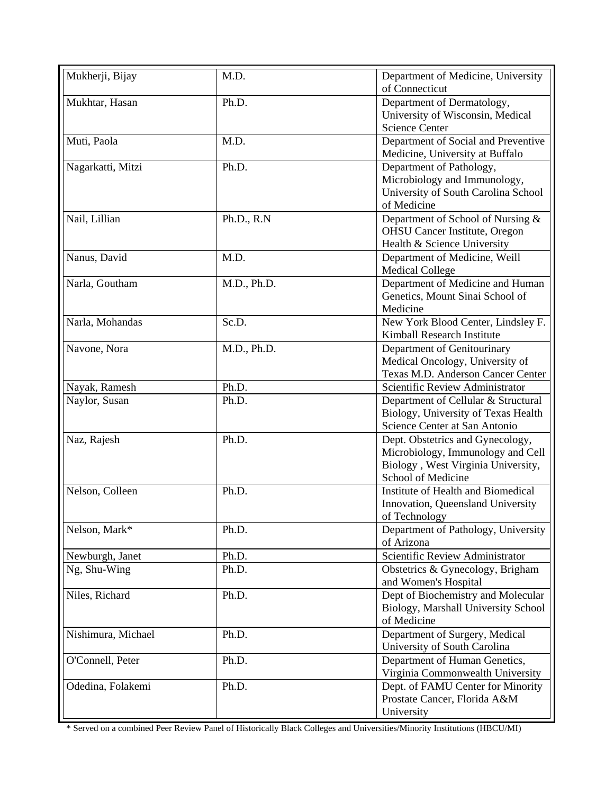| Mukherji, Bijay    | M.D.        | Department of Medicine, University<br>of Connecticut                                                                              |
|--------------------|-------------|-----------------------------------------------------------------------------------------------------------------------------------|
| Mukhtar, Hasan     | Ph.D.       | Department of Dermatology,<br>University of Wisconsin, Medical<br><b>Science Center</b>                                           |
| Muti, Paola        | M.D.        | Department of Social and Preventive<br>Medicine, University at Buffalo                                                            |
| Nagarkatti, Mitzi  | Ph.D.       | Department of Pathology,<br>Microbiology and Immunology,<br>University of South Carolina School<br>of Medicine                    |
| Nail, Lillian      | Ph.D., R.N  | Department of School of Nursing &<br><b>OHSU</b> Cancer Institute, Oregon<br>Health & Science University                          |
| Nanus, David       | M.D.        | Department of Medicine, Weill<br><b>Medical College</b>                                                                           |
| Narla, Goutham     | M.D., Ph.D. | Department of Medicine and Human<br>Genetics, Mount Sinai School of<br>Medicine                                                   |
| Narla, Mohandas    | Sc.D.       | New York Blood Center, Lindsley F.<br>Kimball Research Institute                                                                  |
| Navone, Nora       | M.D., Ph.D. | Department of Genitourinary<br>Medical Oncology, University of<br>Texas M.D. Anderson Cancer Center                               |
| Nayak, Ramesh      | Ph.D.       | Scientific Review Administrator                                                                                                   |
| Naylor, Susan      | Ph.D.       | Department of Cellular & Structural<br>Biology, University of Texas Health<br>Science Center at San Antonio                       |
| Naz, Rajesh        | Ph.D.       | Dept. Obstetrics and Gynecology,<br>Microbiology, Immunology and Cell<br>Biology, West Virginia University,<br>School of Medicine |
| Nelson, Colleen    | Ph.D.       | Institute of Health and Biomedical<br>Innovation, Queensland University<br>of Technology                                          |
| Nelson, Mark*      | Ph.D.       | Department of Pathology, University<br>of Arizona                                                                                 |
| Newburgh, Janet    | Ph.D.       | Scientific Review Administrator                                                                                                   |
| Ng, Shu-Wing       | Ph.D.       | Obstetrics & Gynecology, Brigham<br>and Women's Hospital                                                                          |
| Niles, Richard     | Ph.D.       | Dept of Biochemistry and Molecular<br>Biology, Marshall University School<br>of Medicine                                          |
| Nishimura, Michael | Ph.D.       | Department of Surgery, Medical<br>University of South Carolina                                                                    |
| O'Connell, Peter   | Ph.D.       | Department of Human Genetics,<br>Virginia Commonwealth University                                                                 |
| Odedina, Folakemi  | Ph.D.       | Dept. of FAMU Center for Minority<br>Prostate Cancer, Florida A&M<br>University                                                   |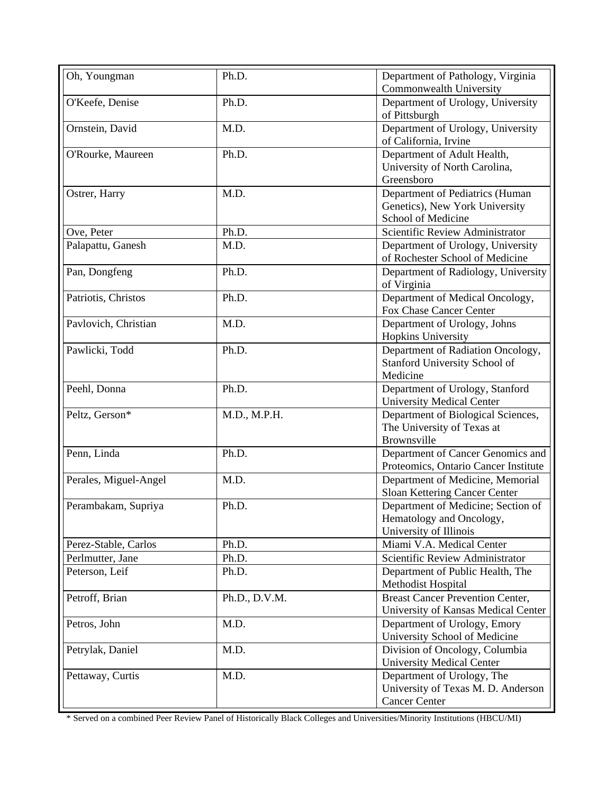| Oh, Youngman          | Ph.D.         | Department of Pathology, Virginia<br>Commonwealth University                             |
|-----------------------|---------------|------------------------------------------------------------------------------------------|
| O'Keefe, Denise       | Ph.D.         | Department of Urology, University<br>of Pittsburgh                                       |
| Ornstein, David       | M.D.          | Department of Urology, University<br>of California, Irvine                               |
| O'Rourke, Maureen     | Ph.D.         | Department of Adult Health,<br>University of North Carolina,<br>Greensboro               |
| Ostrer, Harry         | M.D.          | Department of Pediatrics (Human<br>Genetics), New York University<br>School of Medicine  |
| Ove, Peter            | Ph.D.         | Scientific Review Administrator                                                          |
| Palapattu, Ganesh     | M.D.          | Department of Urology, University<br>of Rochester School of Medicine                     |
| Pan, Dongfeng         | Ph.D.         | Department of Radiology, University<br>of Virginia                                       |
| Patriotis, Christos   | Ph.D.         | Department of Medical Oncology,<br>Fox Chase Cancer Center                               |
| Pavlovich, Christian  | M.D.          | Department of Urology, Johns<br>Hopkins University                                       |
| Pawlicki, Todd        | Ph.D.         | Department of Radiation Oncology,<br>Stanford University School of<br>Medicine           |
| Peehl, Donna          | Ph.D.         | Department of Urology, Stanford<br><b>University Medical Center</b>                      |
| Peltz, Gerson*        | M.D., M.P.H.  | Department of Biological Sciences,<br>The University of Texas at<br>Brownsville          |
| Penn, Linda           | Ph.D.         | Department of Cancer Genomics and<br>Proteomics, Ontario Cancer Institute                |
| Perales, Miguel-Angel | M.D.          | Department of Medicine, Memorial<br>Sloan Kettering Cancer Center                        |
| Perambakam, Supriya   | Ph.D.         | Department of Medicine; Section of<br>Hematology and Oncology,<br>University of Illinois |
| Perez-Stable, Carlos  | Ph.D.         | Miami V.A. Medical Center                                                                |
| Perlmutter, Jane      | Ph.D.         | Scientific Review Administrator                                                          |
| Peterson, Leif        | Ph.D.         | Department of Public Health, The<br>Methodist Hospital                                   |
| Petroff, Brian        | Ph.D., D.V.M. | <b>Breast Cancer Prevention Center,</b><br>University of Kansas Medical Center           |
| Petros, John          | M.D.          | Department of Urology, Emory<br>University School of Medicine                            |
| Petrylak, Daniel      | M.D.          | Division of Oncology, Columbia<br><b>University Medical Center</b>                       |
| Pettaway, Curtis      | M.D.          | Department of Urology, The<br>University of Texas M. D. Anderson<br><b>Cancer Center</b> |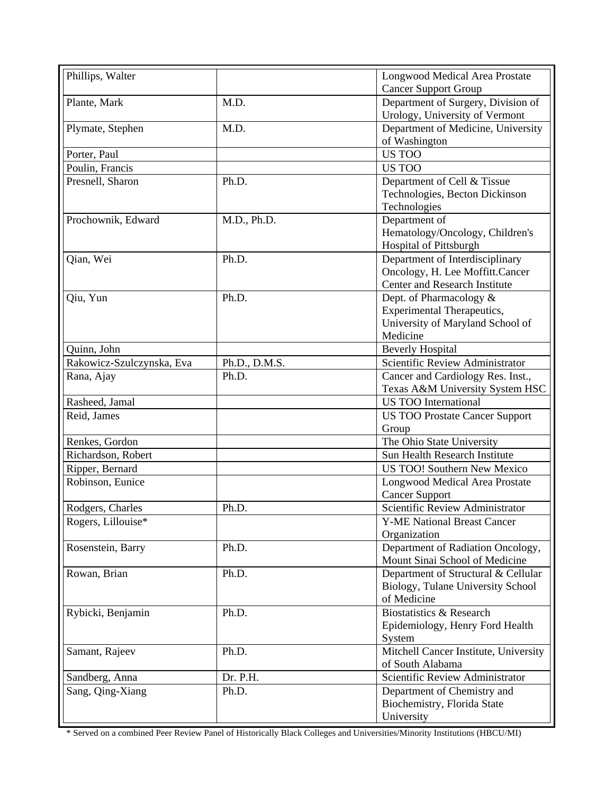| Phillips, Walter          |               | <b>Longwood Medical Area Prostate</b>                    |
|---------------------------|---------------|----------------------------------------------------------|
|                           |               | <b>Cancer Support Group</b>                              |
| Plante, Mark              | M.D.          | Department of Surgery, Division of                       |
|                           |               | Urology, University of Vermont                           |
| Plymate, Stephen          | M.D.          | Department of Medicine, University                       |
|                           |               | of Washington                                            |
| Porter, Paul              |               | <b>US TOO</b>                                            |
| Poulin, Francis           |               | <b>US TOO</b>                                            |
| Presnell, Sharon          | Ph.D.         | Department of Cell & Tissue                              |
|                           |               | Technologies, Becton Dickinson                           |
|                           |               | Technologies                                             |
| Prochownik, Edward        | M.D., Ph.D.   | Department of                                            |
|                           |               | Hematology/Oncology, Children's                          |
|                           |               | <b>Hospital of Pittsburgh</b>                            |
| Qian, Wei                 | Ph.D.         | Department of Interdisciplinary                          |
|                           |               | Oncology, H. Lee Moffitt.Cancer                          |
|                           |               | <b>Center and Research Institute</b>                     |
| Qiu, Yun                  | Ph.D.         | Dept. of Pharmacology &                                  |
|                           |               | <b>Experimental Therapeutics,</b>                        |
|                           |               | University of Maryland School of                         |
|                           |               | Medicine                                                 |
| Quinn, John               |               | <b>Beverly Hospital</b>                                  |
| Rakowicz-Szulczynska, Eva | Ph.D., D.M.S. | Scientific Review Administrator                          |
| Rana, Ajay                | Ph.D.         | Cancer and Cardiology Res. Inst.,                        |
|                           |               | Texas A&M University System HSC                          |
| Rasheed, Jamal            |               | <b>US TOO International</b>                              |
| Reid, James               |               | <b>US TOO Prostate Cancer Support</b>                    |
|                           |               | Group                                                    |
| Renkes, Gordon            |               | The Ohio State University                                |
| Richardson, Robert        |               | Sun Health Research Institute                            |
| Ripper, Bernard           |               | <b>US TOO!</b> Southern New Mexico                       |
| Robinson, Eunice          |               | <b>Longwood Medical Area Prostate</b>                    |
|                           |               |                                                          |
|                           | Ph.D.         | <b>Cancer Support</b><br>Scientific Review Administrator |
| Rodgers, Charles          |               |                                                          |
| Rogers, Lillouise*        |               | <b>Y-ME National Breast Cancer</b>                       |
|                           |               | Organization                                             |
| Rosenstein, Barry         | Ph.D.         | Department of Radiation Oncology,                        |
|                           |               | Mount Sinai School of Medicine                           |
| Rowan, Brian              | Ph.D.         | Department of Structural & Cellular                      |
|                           |               | Biology, Tulane University School                        |
|                           |               | of Medicine                                              |
| Rybicki, Benjamin         | Ph.D.         | Biostatistics & Research                                 |
|                           |               | Epidemiology, Henry Ford Health                          |
|                           |               | System                                                   |
| Samant, Rajeev            | Ph.D.         | Mitchell Cancer Institute, University                    |
|                           |               | of South Alabama                                         |
| Sandberg, Anna            | Dr. P.H.      | Scientific Review Administrator                          |
| Sang, Qing-Xiang          | Ph.D.         | Department of Chemistry and                              |
|                           |               | Biochemistry, Florida State                              |
|                           |               | University                                               |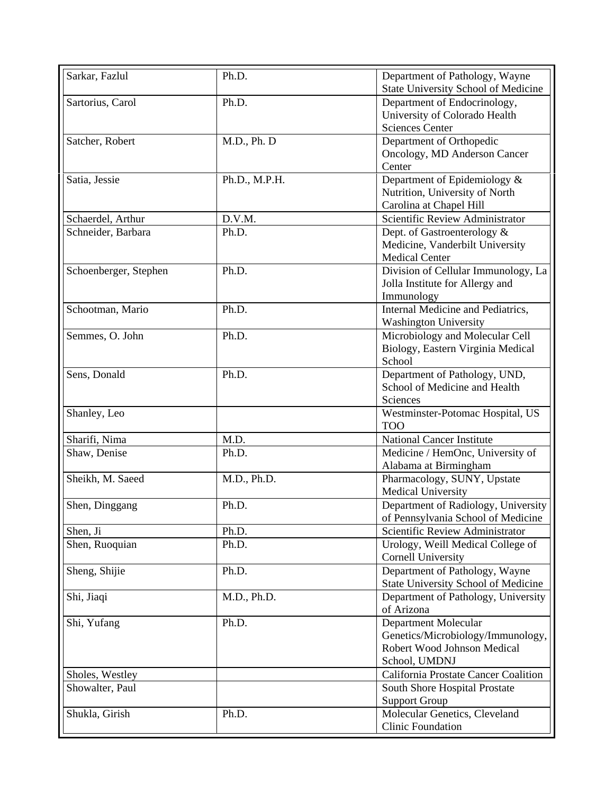| Sarkar, Fazlul        | Ph.D.         | Department of Pathology, Wayne<br><b>State University School of Medicine</b>                                     |
|-----------------------|---------------|------------------------------------------------------------------------------------------------------------------|
| Sartorius, Carol      | Ph.D.         | Department of Endocrinology,<br>University of Colorado Health<br><b>Sciences Center</b>                          |
| Satcher, Robert       | M.D., Ph. D   | Department of Orthopedic<br>Oncology, MD Anderson Cancer<br>Center                                               |
| Satia, Jessie         | Ph.D., M.P.H. | Department of Epidemiology &<br>Nutrition, University of North<br>Carolina at Chapel Hill                        |
| Schaerdel, Arthur     | D.V.M.        | Scientific Review Administrator                                                                                  |
| Schneider, Barbara    | Ph.D.         | Dept. of Gastroenterology &<br>Medicine, Vanderbilt University<br><b>Medical Center</b>                          |
| Schoenberger, Stephen | Ph.D.         | Division of Cellular Immunology, La<br>Jolla Institute for Allergy and<br>Immunology                             |
| Schootman, Mario      | Ph.D.         | <b>Internal Medicine and Pediatrics,</b><br><b>Washington University</b>                                         |
| Semmes, O. John       | Ph.D.         | Microbiology and Molecular Cell<br>Biology, Eastern Virginia Medical<br>School                                   |
| Sens, Donald          | Ph.D.         | Department of Pathology, UND,<br>School of Medicine and Health<br>Sciences                                       |
| Shanley, Leo          |               | Westminster-Potomac Hospital, US<br><b>TOO</b>                                                                   |
| Sharifi, Nima         | M.D.          | <b>National Cancer Institute</b>                                                                                 |
| Shaw, Denise          | Ph.D.         | Medicine / HemOnc, University of<br>Alabama at Birmingham                                                        |
| Sheikh, M. Saeed      | M.D., Ph.D.   | Pharmacology, SUNY, Upstate<br><b>Medical University</b>                                                         |
| Shen, Dinggang        | Ph.D.         | Department of Radiology, University<br>of Pennsylvania School of Medicine                                        |
| Shen, Ji              | Ph.D.         | Scientific Review Administrator                                                                                  |
| Shen, Ruoquian        | Ph.D.         | Urology, Weill Medical College of<br><b>Cornell University</b>                                                   |
| Sheng, Shijie         | Ph.D.         | Department of Pathology, Wayne<br><b>State University School of Medicine</b>                                     |
| Shi, Jiaqi            | M.D., Ph.D.   | Department of Pathology, University<br>of Arizona                                                                |
| Shi, Yufang           | Ph.D.         | <b>Department Molecular</b><br>Genetics/Microbiology/Immunology,<br>Robert Wood Johnson Medical<br>School, UMDNJ |
| Sholes, Westley       |               | California Prostate Cancer Coalition                                                                             |
| Showalter, Paul       |               | South Shore Hospital Prostate<br><b>Support Group</b>                                                            |
| Shukla, Girish        | Ph.D.         | Molecular Genetics, Cleveland<br><b>Clinic Foundation</b>                                                        |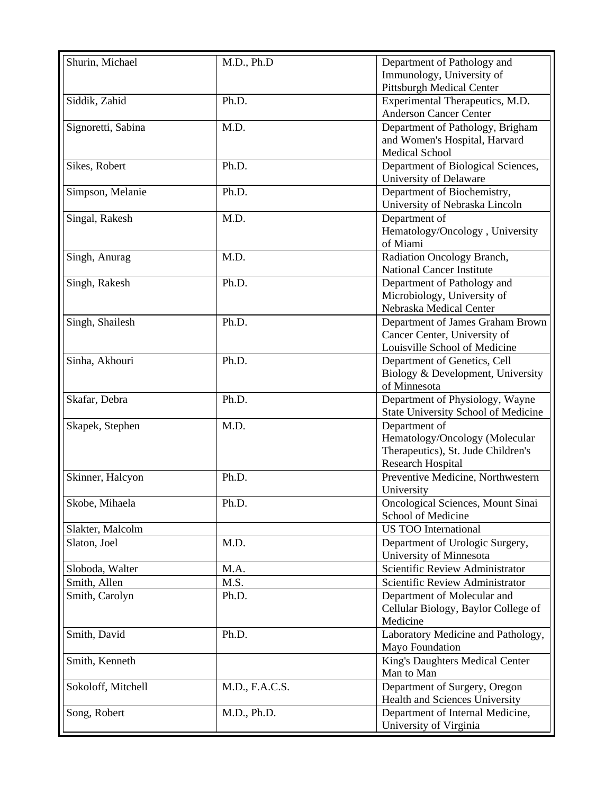| Shurin, Michael    | M.D., Ph.D     | Department of Pathology and                |
|--------------------|----------------|--------------------------------------------|
|                    |                | Immunology, University of                  |
|                    |                |                                            |
|                    |                | <b>Pittsburgh Medical Center</b>           |
| Siddik, Zahid      | Ph.D.          | Experimental Therapeutics, M.D.            |
|                    |                | <b>Anderson Cancer Center</b>              |
| Signoretti, Sabina | M.D.           | Department of Pathology, Brigham           |
|                    |                | and Women's Hospital, Harvard              |
|                    |                | Medical School                             |
| Sikes, Robert      | Ph.D.          | Department of Biological Sciences,         |
|                    |                | University of Delaware                     |
| Simpson, Melanie   | Ph.D.          |                                            |
|                    |                | Department of Biochemistry,                |
|                    |                | University of Nebraska Lincoln             |
| Singal, Rakesh     | M.D.           | Department of                              |
|                    |                | Hematology/Oncology, University            |
|                    |                | of Miami                                   |
| Singh, Anurag      | M.D.           | Radiation Oncology Branch,                 |
|                    |                | <b>National Cancer Institute</b>           |
| Singh, Rakesh      | Ph.D.          | Department of Pathology and                |
|                    |                | Microbiology, University of                |
|                    |                | Nebraska Medical Center                    |
|                    |                |                                            |
| Singh, Shailesh    | Ph.D.          | Department of James Graham Brown           |
|                    |                | Cancer Center, University of               |
|                    |                | Louisville School of Medicine              |
| Sinha, Akhouri     | Ph.D.          | Department of Genetics, Cell               |
|                    |                | Biology & Development, University          |
|                    |                | of Minnesota                               |
| Skafar, Debra      | Ph.D.          | Department of Physiology, Wayne            |
|                    |                | <b>State University School of Medicine</b> |
| Skapek, Stephen    | M.D.           | Department of                              |
|                    |                | Hematology/Oncology (Molecular             |
|                    |                | Therapeutics), St. Jude Children's         |
|                    |                |                                            |
|                    |                | <b>Research Hospital</b>                   |
| Skinner, Halcyon   | Ph.D.          | Preventive Medicine, Northwestern          |
|                    |                | University                                 |
| Skobe, Mihaela     | Ph.D.          | Oncological Sciences, Mount Sinai          |
|                    |                | School of Medicine                         |
| Slakter, Malcolm   |                | <b>US TOO International</b>                |
| Slaton, Joel       | M.D.           | Department of Urologic Surgery,            |
|                    |                | University of Minnesota                    |
| Sloboda, Walter    | M.A.           | Scientific Review Administrator            |
|                    |                |                                            |
| Smith, Allen       | M.S.           | Scientific Review Administrator            |
| Smith, Carolyn     | Ph.D.          | Department of Molecular and                |
|                    |                | Cellular Biology, Baylor College of        |
|                    |                | Medicine                                   |
| Smith, David       | Ph.D.          | Laboratory Medicine and Pathology,         |
|                    |                | Mayo Foundation                            |
| Smith, Kenneth     |                | King's Daughters Medical Center            |
|                    |                | Man to Man                                 |
|                    |                |                                            |
| Sokoloff, Mitchell | M.D., F.A.C.S. | Department of Surgery, Oregon              |
|                    |                | Health and Sciences University             |
| Song, Robert       | M.D., Ph.D.    | Department of Internal Medicine,           |
|                    |                | University of Virginia                     |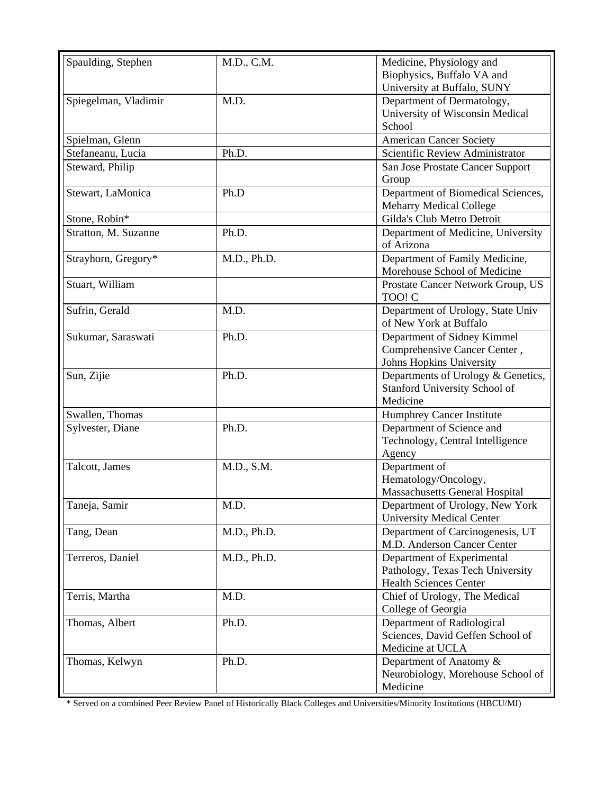| Spaulding, Stephen   | M.D., C.M.  | Medicine, Physiology and                                             |
|----------------------|-------------|----------------------------------------------------------------------|
|                      |             | Biophysics, Buffalo VA and                                           |
|                      |             | University at Buffalo, SUNY                                          |
| Spiegelman, Vladimir | M.D.        | Department of Dermatology,                                           |
|                      |             | University of Wisconsin Medical                                      |
|                      |             | School                                                               |
| Spielman, Glenn      |             | <b>American Cancer Society</b>                                       |
| Stefaneanu, Lucia    | Ph.D.       | Scientific Review Administrator                                      |
| Steward, Philip      |             | San Jose Prostate Cancer Support                                     |
|                      |             | Group                                                                |
| Stewart, LaMonica    | Ph.D        | Department of Biomedical Sciences,<br><b>Meharry Medical College</b> |
| Stone, Robin*        |             | Gilda's Club Metro Detroit                                           |
| Stratton, M. Suzanne | Ph.D.       | Department of Medicine, University                                   |
|                      |             | of Arizona                                                           |
| Strayhorn, Gregory*  | M.D., Ph.D. | Department of Family Medicine,                                       |
|                      |             | Morehouse School of Medicine                                         |
| Stuart, William      |             | Prostate Cancer Network Group, US                                    |
|                      |             | TOO! C                                                               |
| Sufrin, Gerald       | M.D.        | Department of Urology, State Univ                                    |
|                      |             | of New York at Buffalo                                               |
| Sukumar, Saraswati   | Ph.D.       | Department of Sidney Kimmel                                          |
|                      |             | Comprehensive Cancer Center,                                         |
|                      |             | Johns Hopkins University                                             |
| Sun, Zijie           | Ph.D.       | Departments of Urology & Genetics,                                   |
|                      |             | Stanford University School of                                        |
|                      |             | Medicine                                                             |
| Swallen, Thomas      |             | <b>Humphrey Cancer Institute</b>                                     |
| Sylvester, Diane     | Ph.D.       | Department of Science and                                            |
|                      |             | Technology, Central Intelligence                                     |
|                      |             | Agency                                                               |
| Talcott, James       | M.D., S.M.  | Department of                                                        |
|                      |             | Hematology/Oncology,                                                 |
|                      |             | <b>Massachusetts General Hospital</b>                                |
| Taneja, Samir        | M.D.        | Department of Urology, New York                                      |
|                      |             | <b>University Medical Center</b>                                     |
| Tang, Dean           | M.D., Ph.D. | Department of Carcinogenesis, UT                                     |
|                      |             | M.D. Anderson Cancer Center                                          |
| Terreros, Daniel     | M.D., Ph.D. | Department of Experimental                                           |
|                      |             | Pathology, Texas Tech University                                     |
|                      |             | <b>Health Sciences Center</b>                                        |
| Terris, Martha       | M.D.        | Chief of Urology, The Medical                                        |
|                      |             | College of Georgia                                                   |
| Thomas, Albert       | Ph.D.       | Department of Radiological                                           |
|                      |             | Sciences, David Geffen School of                                     |
|                      |             | Medicine at UCLA                                                     |
| Thomas, Kelwyn       | Ph.D.       | Department of Anatomy &                                              |
|                      |             | Neurobiology, Morehouse School of                                    |
|                      |             | Medicine                                                             |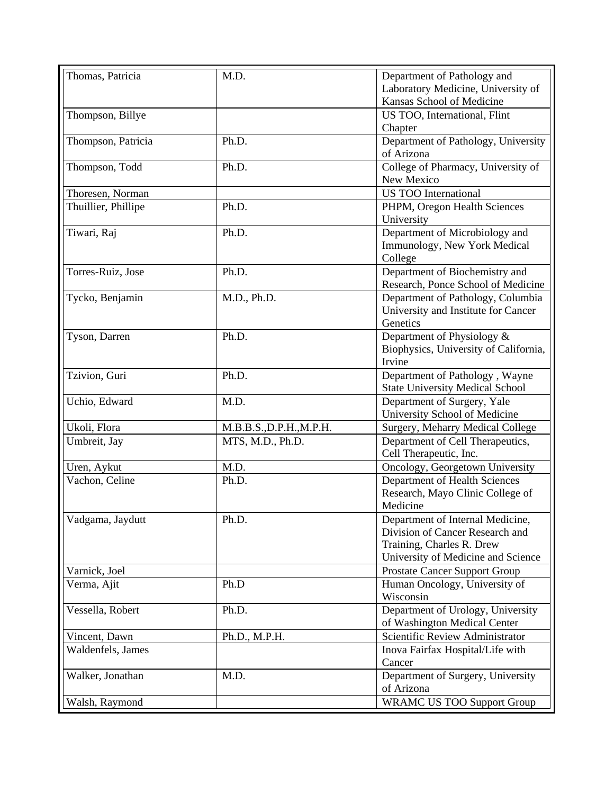| Thomas, Patricia    | M.D.                     | Department of Pathology and            |
|---------------------|--------------------------|----------------------------------------|
|                     |                          | Laboratory Medicine, University of     |
|                     |                          | Kansas School of Medicine              |
| Thompson, Billye    |                          | US TOO, International, Flint           |
|                     |                          | Chapter                                |
| Thompson, Patricia  | Ph.D.                    | Department of Pathology, University    |
|                     |                          | of Arizona                             |
| Thompson, Todd      | Ph.D.                    | College of Pharmacy, University of     |
|                     |                          | New Mexico                             |
| Thoresen, Norman    |                          | <b>US TOO International</b>            |
| Thuillier, Phillipe | Ph.D.                    | PHPM, Oregon Health Sciences           |
|                     |                          | University                             |
| Tiwari, Raj         | Ph.D.                    | Department of Microbiology and         |
|                     |                          | Immunology, New York Medical           |
|                     |                          | College                                |
| Torres-Ruiz, Jose   | Ph.D.                    | Department of Biochemistry and         |
|                     |                          | Research, Ponce School of Medicine     |
| Tycko, Benjamin     | M.D., Ph.D.              | Department of Pathology, Columbia      |
|                     |                          | University and Institute for Cancer    |
|                     |                          | Genetics                               |
| Tyson, Darren       | Ph.D.                    | Department of Physiology &             |
|                     |                          | Biophysics, University of California,  |
|                     |                          | Irvine                                 |
| Tzivion, Guri       | Ph.D.                    | Department of Pathology, Wayne         |
|                     |                          | <b>State University Medical School</b> |
| Uchio, Edward       | M.D.                     | Department of Surgery, Yale            |
|                     |                          | University School of Medicine          |
| Ukoli, Flora        | M.B.B.S., D.P.H., M.P.H. | Surgery, Meharry Medical College       |
| Umbreit, Jay        | MTS, M.D., Ph.D.         | Department of Cell Therapeutics,       |
|                     |                          | Cell Therapeutic, Inc.                 |
| Uren, Aykut         | M.D.                     | Oncology, Georgetown University        |
| Vachon, Celine      | Ph.D.                    | Department of Health Sciences          |
|                     |                          | Research, Mayo Clinic College of       |
|                     |                          | Medicine                               |
| Vadgama, Jaydutt    | Ph.D.                    | Department of Internal Medicine,       |
|                     |                          | Division of Cancer Research and        |
|                     |                          | Training, Charles R. Drew              |
|                     |                          | University of Medicine and Science     |
| Varnick, Joel       |                          | Prostate Cancer Support Group          |
| Verma, Ajit         | Ph.D                     | Human Oncology, University of          |
|                     |                          | Wisconsin                              |
| Vessella, Robert    | Ph.D.                    | Department of Urology, University      |
|                     |                          | of Washington Medical Center           |
| Vincent, Dawn       | Ph.D., M.P.H.            | Scientific Review Administrator        |
| Waldenfels, James   |                          | Inova Fairfax Hospital/Life with       |
|                     |                          | Cancer                                 |
| Walker, Jonathan    | M.D.                     | Department of Surgery, University      |
|                     |                          | of Arizona                             |
| Walsh, Raymond      |                          | <b>WRAMC US TOO Support Group</b>      |
|                     |                          |                                        |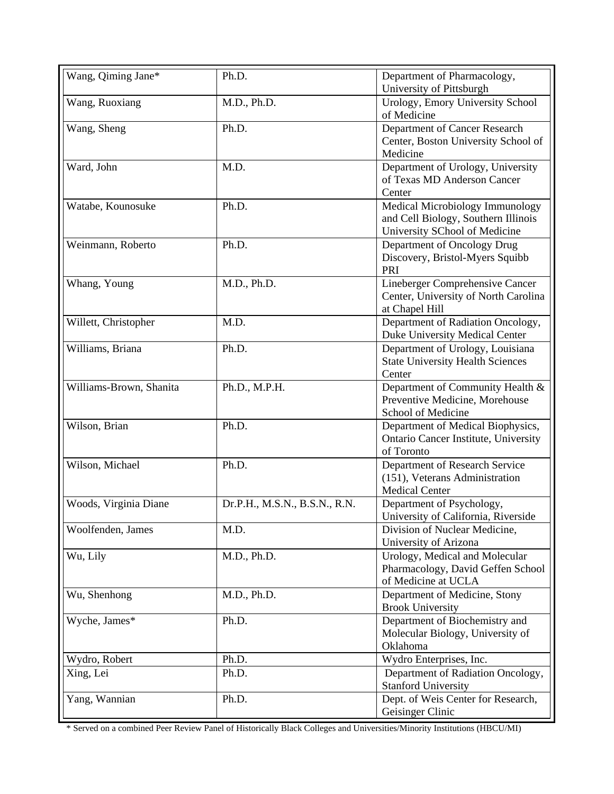| Wang, Qiming Jane*      | Ph.D.                         | Department of Pharmacology,                                                                             |
|-------------------------|-------------------------------|---------------------------------------------------------------------------------------------------------|
|                         |                               | University of Pittsburgh                                                                                |
| Wang, Ruoxiang          | M.D., Ph.D.                   | Urology, Emory University School<br>of Medicine                                                         |
| Wang, Sheng             | Ph.D.                         | Department of Cancer Research<br>Center, Boston University School of                                    |
|                         |                               | Medicine                                                                                                |
| Ward, John              | M.D.                          | Department of Urology, University                                                                       |
|                         |                               | of Texas MD Anderson Cancer                                                                             |
|                         |                               | Center                                                                                                  |
| Watabe, Kounosuke       | Ph.D.                         | Medical Microbiology Immunology<br>and Cell Biology, Southern Illinois<br>University SChool of Medicine |
| Weinmann, Roberto       | Ph.D.                         | Department of Oncology Drug                                                                             |
|                         |                               | Discovery, Bristol-Myers Squibb<br>PRI                                                                  |
| Whang, Young            | M.D., Ph.D.                   | Lineberger Comprehensive Cancer                                                                         |
|                         |                               | Center, University of North Carolina<br>at Chapel Hill                                                  |
| Willett, Christopher    | M.D.                          | Department of Radiation Oncology,<br>Duke University Medical Center                                     |
| Williams, Briana        | Ph.D.                         | Department of Urology, Louisiana<br><b>State University Health Sciences</b>                             |
|                         |                               | Center                                                                                                  |
| Williams-Brown, Shanita | Ph.D., M.P.H.                 | Department of Community Health &                                                                        |
|                         |                               | Preventive Medicine, Morehouse                                                                          |
|                         |                               | School of Medicine                                                                                      |
| Wilson, Brian           | Ph.D.                         | Department of Medical Biophysics,                                                                       |
|                         |                               | Ontario Cancer Institute, University<br>of Toronto                                                      |
| Wilson, Michael         | Ph.D.                         | Department of Research Service                                                                          |
|                         |                               | (151), Veterans Administration                                                                          |
|                         |                               | <b>Medical Center</b>                                                                                   |
| Woods, Virginia Diane   | Dr.P.H., M.S.N., B.S.N., R.N. | Department of Psychology,                                                                               |
|                         |                               | University of California, Riverside                                                                     |
| Woolfenden, James       | M.D.                          | Division of Nuclear Medicine,                                                                           |
|                         |                               | University of Arizona                                                                                   |
| Wu, Lily                | M.D., Ph.D.                   | Urology, Medical and Molecular                                                                          |
|                         |                               | Pharmacology, David Geffen School                                                                       |
|                         |                               | of Medicine at UCLA                                                                                     |
| Wu, Shenhong            | M.D., Ph.D.                   | Department of Medicine, Stony<br><b>Brook University</b>                                                |
| Wyche, James*           | Ph.D.                         | Department of Biochemistry and                                                                          |
|                         |                               | Molecular Biology, University of                                                                        |
|                         |                               | Oklahoma                                                                                                |
| Wydro, Robert           | Ph.D.                         | Wydro Enterprises, Inc.                                                                                 |
| Xing, Lei               | Ph.D.                         | Department of Radiation Oncology,<br><b>Stanford University</b>                                         |
| Yang, Wannian           | Ph.D.                         | Dept. of Weis Center for Research,<br>Geisinger Clinic                                                  |